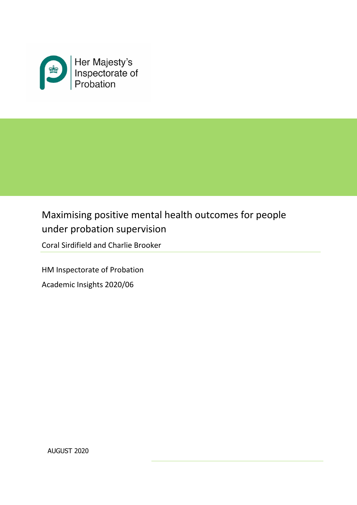

# Maximising positive mental health outcomes for people under probation supervision

Coral Sirdifield and Charlie Brooker

HM Inspectorate of Probation Academic Insights 2020/06

AUGUST 2020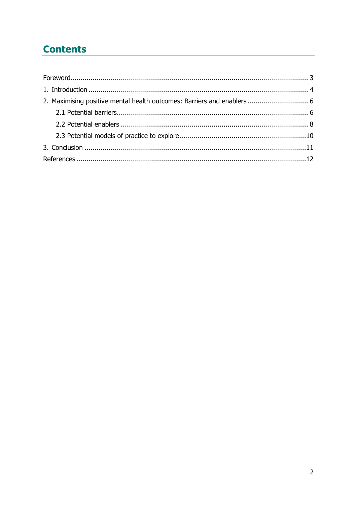## **Contents**

| 2. Maximising positive mental health outcomes: Barriers and enablers  6 |  |
|-------------------------------------------------------------------------|--|
|                                                                         |  |
|                                                                         |  |
|                                                                         |  |
|                                                                         |  |
|                                                                         |  |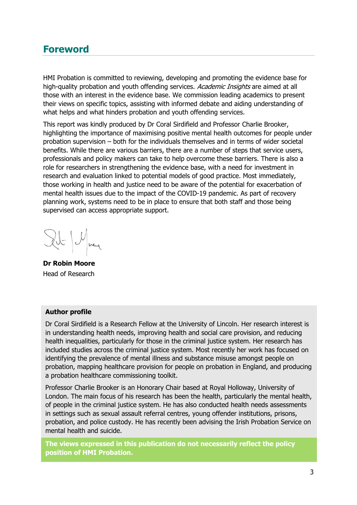### <span id="page-2-0"></span>**Foreword**

HMI Probation is committed to reviewing, developing and promoting the evidence base for high-quality probation and youth offending services. Academic Insights are aimed at all those with an interest in the evidence base. We commission leading academics to present their views on specific topics, assisting with informed debate and aiding understanding of what helps and what hinders probation and youth offending services.

This report was kindly produced by Dr Coral Sirdifield and Professor Charlie Brooker, highlighting the importance of maximising positive mental health outcomes for people under probation supervision – both for the individuals themselves and in terms of wider societal benefits. While there are various barriers, there are a number of steps that service users, professionals and policy makers can take to help overcome these barriers. There is also a role for researchers in strengthening the evidence base, with a need for investment in research and evaluation linked to potential models of good practice. Most immediately, those working in health and justice need to be aware of the potential for exacerbation of mental health issues due to the impact of the COVID-19 pandemic. As part of recovery planning work, systems need to be in place to ensure that both staff and those being supervised can access appropriate support.

Ilt May

**Dr Robin Moore** Head of Research

#### **Author profile**

Dr Coral Sirdifield is a Research Fellow at the University of Lincoln. Her research interest is in understanding health needs, improving health and social care provision, and reducing health inequalities, particularly for those in the criminal justice system. Her research has included studies across the criminal justice system. Most recently her work has focused on identifying the prevalence of mental illness and substance misuse amongst people on probation, mapping healthcare provision for people on probation in England, and producing a probation healthcare commissioning toolkit.

Professor Charlie Brooker is an Honorary Chair based at Royal Holloway, University of London. The main focus of his research has been the health, particularly the mental health, of people in the criminal justice system. He has also conducted health needs assessments in settings such as sexual assault referral centres, young offender institutions, prisons, probation, and police custody. He has recently been advising the Irish Probation Service on mental health and suicide.

**The views expressed in this publication do not necessarily reflect the policy position of HMI Probation.**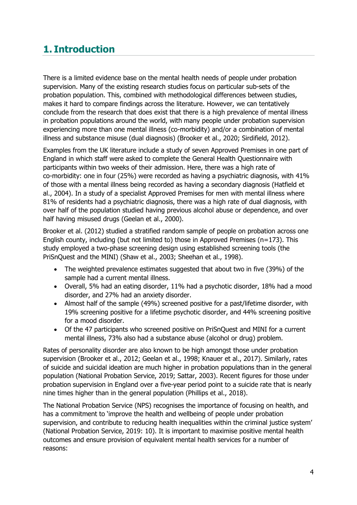## <span id="page-3-0"></span>**1. Introduction**

There is a limited evidence base on the mental health needs of people under probation supervision. Many of the existing research studies focus on particular sub-sets of the probation population. This, combined with methodological differences between studies, makes it hard to compare findings across the literature. However, we can tentatively conclude from the research that does exist that there is a high prevalence of mental illness in probation populations around the world, with many people under probation supervision experiencing more than one mental illness (co-morbidity) and/or a combination of mental illness and substance misuse (dual diagnosis) (Brooker et al., 2020; Sirdifield, 2012).

Examples from the UK literature include a study of seven Approved Premises in one part of England in which staff were asked to complete the General Health Questionnaire with participants within two weeks of their admission. Here, there was a high rate of co-morbidity: one in four (25%) were recorded as having a psychiatric diagnosis, with 41% of those with a mental illness being recorded as having a secondary diagnosis (Hatfield et al., 2004). In a study of a specialist Approved Premises for men with mental illness where 81% of residents had a psychiatric diagnosis, there was a high rate of dual diagnosis, with over half of the population studied having previous alcohol abuse or dependence, and over half having misused drugs (Geelan et al., 2000).

Brooker et al. (2012) studied a stratified random sample of people on probation across one English county, including (but not limited to) those in Approved Premises (n=173). This study employed a two-phase screening design using established screening tools (the PriSnQuest and the MINI) (Shaw et al., 2003; Sheehan et al., 1998).

- The weighted prevalence estimates suggested that about two in five (39%) of the sample had a current mental illness.
- Overall, 5% had an eating disorder, 11% had a psychotic disorder, 18% had a mood disorder, and 27% had an anxiety disorder.
- Almost half of the sample (49%) screened positive for a past/lifetime disorder, with 19% screening positive for a lifetime psychotic disorder, and 44% screening positive for a mood disorder.
- Of the 47 participants who screened positive on PriSnQuest and MINI for a current mental illness, 73% also had a substance abuse (alcohol or drug) problem.

Rates of personality disorder are also known to be high amongst those under probation supervision (Brooker et al., 2012; Geelan et al., 1998; Knauer et al., 2017). Similarly, rates of suicide and suicidal ideation are much higher in probation populations than in the general population (National Probation Service, 2019; Sattar, 2003). Recent figures for those under probation supervision in England over a five-year period point to a suicide rate that is nearly nine times higher than in the general population (Phillips et al., 2018).

The National Probation Service (NPS) recognises the importance of focusing on health, and has a commitment to 'improve the health and wellbeing of people under probation supervision, and contribute to reducing health inequalities within the criminal justice system' (National Probation Service, 2019: 10). It is important to maximise positive mental health outcomes and ensure provision of equivalent mental health services for a number of reasons: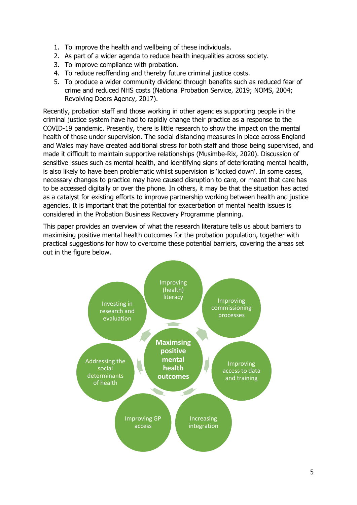- 1. To improve the health and wellbeing of these individuals.
- 2. As part of a wider agenda to reduce health inequalities across society.
- 3. To improve compliance with probation.
- 4. To reduce reoffending and thereby future criminal justice costs.
- 5. To produce a wider community dividend through benefits such as reduced fear of crime and reduced NHS costs (National Probation Service, 2019; NOMS, 2004; Revolving Doors Agency, 2017).

Recently, probation staff and those working in other agencies supporting people in the criminal justice system have had to rapidly change their practice as a response to the COVID-19 pandemic. Presently, there is little research to show the impact on the mental health of those under supervision. The social distancing measures in place across England and Wales may have created additional stress for both staff and those being supervised, and made it difficult to maintain supportive relationships (Musimbe-Rix, 2020). Discussion of sensitive issues such as mental health, and identifying signs of deteriorating mental health, is also likely to have been problematic whilst supervision is 'locked down'. In some cases, necessary changes to practice may have caused disruption to care, or meant that care has to be accessed digitally or over the phone. In others, it may be that the situation has acted as a catalyst for existing efforts to improve partnership working between health and justice agencies. It is important that the potential for exacerbation of mental health issues is considered in the Probation Business Recovery Programme planning.

This paper provides an overview of what the research literature tells us about barriers to maximising positive mental health outcomes for the probation population, together with practical suggestions for how to overcome these potential barriers, covering the areas set out in the figure below.

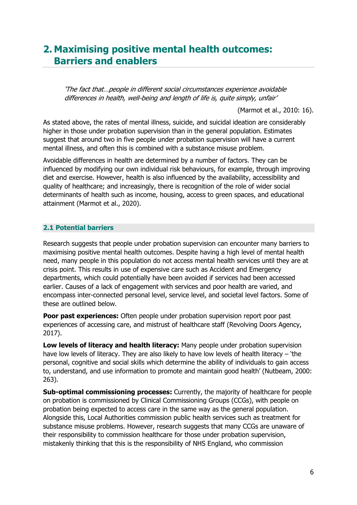### <span id="page-5-0"></span>**2. Maximising positive mental health outcomes: Barriers and enablers**

'The fact that…people in different social circumstances experience avoidable differences in health, well-being and length of life is, quite simply, unfair'

(Marmot et al., 2010: 16).

As stated above, the rates of mental illness, suicide, and suicidal ideation are considerably higher in those under probation supervision than in the general population. Estimates suggest that around two in five people under probation supervision will have a current mental illness, and often this is combined with a substance misuse problem.

Avoidable differences in health are determined by a number of factors. They can be influenced by modifying our own individual risk behaviours, for example, through improving diet and exercise. However, health is also influenced by the availability, accessibility and quality of healthcare; and increasingly, there is recognition of the role of wider social determinants of health such as income, housing, access to green spaces, and educational attainment (Marmot et al., 2020).

#### <span id="page-5-1"></span>**2.1 Potential barriers**

Research suggests that people under probation supervision can encounter many barriers to maximising positive mental health outcomes. Despite having a high level of mental health need, many people in this population do not access mental health services until they are at crisis point. This results in use of expensive care such as Accident and Emergency departments, which could potentially have been avoided if services had been accessed earlier. Causes of a lack of engagement with services and poor health are varied, and encompass inter-connected personal level, service level, and societal level factors. Some of these are outlined below.

**Poor past experiences:** Often people under probation supervision report poor past experiences of accessing care, and mistrust of healthcare staff (Revolving Doors Agency, 2017).

**Low levels of literacy and health literacy:** Many people under probation supervision have low levels of literacy. They are also likely to have low levels of health literacy – 'the personal, cognitive and social skills which determine the ability of individuals to gain access to, understand, and use information to promote and maintain good health' (Nutbeam, 2000: 263).

**Sub-optimal commissioning processes:** Currently, the majority of healthcare for people on probation is commissioned by Clinical Commissioning Groups (CCGs), with people on probation being expected to access care in the same way as the general population. Alongside this, Local Authorities commission public health services such as treatment for substance misuse problems. However, research suggests that many CCGs are unaware of their responsibility to commission healthcare for those under probation supervision, mistakenly thinking that this is the responsibility of NHS England, who commission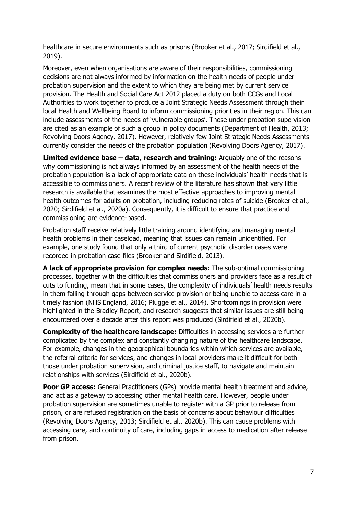healthcare in secure environments such as prisons (Brooker et al., 2017; Sirdifield et al., 2019).

Moreover, even when organisations are aware of their responsibilities, commissioning decisions are not always informed by information on the health needs of people under probation supervision and the extent to which they are being met by current service provision. The Health and Social Care Act 2012 placed a duty on both CCGs and Local Authorities to work together to produce a Joint Strategic Needs Assessment through their local Health and Wellbeing Board to inform commissioning priorities in their region. This can include assessments of the needs of 'vulnerable groups'. Those under probation supervision are cited as an example of such a group in policy documents (Department of Health, 2013; Revolving Doors Agency, 2017). However, relatively few Joint Strategic Needs Assessments currently consider the needs of the probation population (Revolving Doors Agency, 2017).

**Limited evidence base – data, research and training:** Arguably one of the reasons why commissioning is not always informed by an assessment of the health needs of the probation population is a lack of appropriate data on these individuals' health needs that is accessible to commissioners. A recent review of the literature has shown that very little research is available that examines the most effective approaches to improving mental health outcomes for adults on probation, including reducing rates of suicide (Brooker et al., 2020; Sirdifield et al., 2020a). Consequently, it is difficult to ensure that practice and commissioning are evidence-based.

Probation staff receive relatively little training around identifying and managing mental health problems in their caseload, meaning that issues can remain unidentified. For example, one study found that only a third of current psychotic disorder cases were recorded in probation case files (Brooker and Sirdifield, 2013).

**A lack of appropriate provision for complex needs:** The sub-optimal commissioning processes, together with the difficulties that commissioners and providers face as a result of cuts to funding, mean that in some cases, the complexity of individuals' health needs results in them falling through gaps between service provision or being unable to access care in a timely fashion (NHS England, 2016; Plugge et al., 2014). Shortcomings in provision were highlighted in the Bradley Report, and research suggests that similar issues are still being encountered over a decade after this report was produced (Sirdifield et al., 2020b).

**Complexity of the healthcare landscape:** Difficulties in accessing services are further complicated by the complex and constantly changing nature of the healthcare landscape. For example, changes in the geographical boundaries within which services are available, the referral criteria for services, and changes in local providers make it difficult for both those under probation supervision, and criminal justice staff, to navigate and maintain relationships with services (Sirdifield et al., 2020b).

**Poor GP access:** General Practitioners (GPs) provide mental health treatment and advice, and act as a gateway to accessing other mental health care. However, people under probation supervision are sometimes unable to register with a GP prior to release from prison, or are refused registration on the basis of concerns about behaviour difficulties (Revolving Doors Agency, 2013; Sirdifield et al., 2020b). This can cause problems with accessing care, and continuity of care, including gaps in access to medication after release from prison.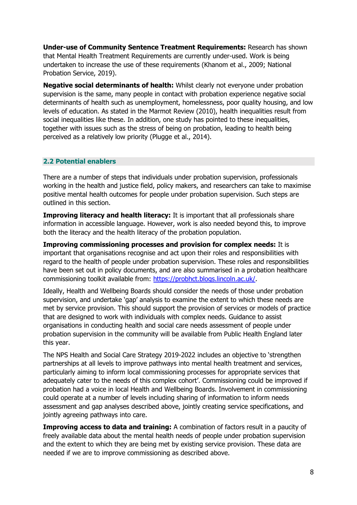**Under-use of Community Sentence Treatment Requirements:** Research has shown that Mental Health Treatment Requirements are currently under-used. Work is being undertaken to increase the use of these requirements (Khanom et al., 2009; National Probation Service, 2019).

**Negative social determinants of health:** Whilst clearly not everyone under probation supervision is the same, many people in contact with probation experience negative social determinants of health such as unemployment, homelessness, poor quality housing, and low levels of education. As stated in the Marmot Review (2010), health inequalities result from social inequalities like these. In addition, one study has pointed to these inequalities, together with issues such as the stress of being on probation, leading to health being perceived as a relatively low priority (Plugge et al., 2014).

#### <span id="page-7-0"></span>**2.2 Potential enablers**

There are a number of steps that individuals under probation supervision, professionals working in the health and justice field, policy makers, and researchers can take to maximise positive mental health outcomes for people under probation supervision. Such steps are outlined in this section.

**Improving literacy and health literacy:** It is important that all professionals share information in accessible language. However, work is also needed beyond this, to improve both the literacy and the health literacy of the probation population.

**Improving commissioning processes and provision for complex needs:** It is important that organisations recognise and act upon their roles and responsibilities with regard to the health of people under probation supervision. These roles and responsibilities have been set out in policy documents, and are also summarised in a probation healthcare commissioning toolkit available from: [https://probhct.blogs.lincoln.ac.uk/.](about:blank)

Ideally, Health and Wellbeing Boards should consider the needs of those under probation supervision, and undertake 'gap' analysis to examine the extent to which these needs are met by service provision. This should support the provision of services or models of practice that are designed to work with individuals with complex needs. Guidance to assist organisations in conducting health and social care needs assessment of people under probation supervision in the community will be available from Public Health England later this year.

The NPS Health and Social Care Strategy 2019-2022 includes an objective to 'strengthen partnerships at all levels to improve pathways into mental health treatment and services, particularly aiming to inform local commissioning processes for appropriate services that adequately cater to the needs of this complex cohort'. Commissioning could be improved if probation had a voice in local Health and Wellbeing Boards. Involvement in commissioning could operate at a number of levels including sharing of information to inform needs assessment and gap analyses described above, jointly creating service specifications, and jointly agreeing pathways into care.

**Improving access to data and training:** A combination of factors result in a paucity of freely available data about the mental health needs of people under probation supervision and the extent to which they are being met by existing service provision. These data are needed if we are to improve commissioning as described above.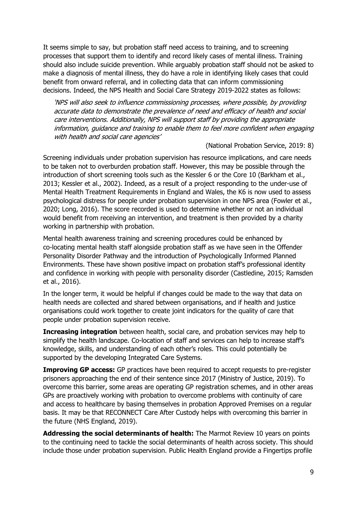It seems simple to say, but probation staff need access to training, and to screening processes that support them to identify and record likely cases of mental illness. Training should also include suicide prevention. While arguably probation staff should not be asked to make a diagnosis of mental illness, they do have a role in identifying likely cases that could benefit from onward referral, and in collecting data that can inform commissioning decisions. Indeed, the NPS Health and Social Care Strategy 2019-2022 states as follows:

'NPS will also seek to influence commissioning processes, where possible, by providing accurate data to demonstrate the prevalence of need and efficacy of health and social care interventions. Additionally, NPS will support staff by providing the appropriate information, guidance and training to enable them to feel more confident when engaging with health and social care agencies'

#### (National Probation Service, 2019: 8)

Screening individuals under probation supervision has resource implications, and care needs to be taken not to overburden probation staff. However, this may be possible through the introduction of short screening tools such as the Kessler 6 or the Core 10 (Barkham et al., 2013; Kessler et al., 2002). Indeed, as a result of a project responding to the under-use of Mental Health Treatment Requirements in England and Wales, the K6 is now used to assess psychological distress for people under probation supervision in one NPS area (Fowler et al., 2020; Long, 2016). The score recorded is used to determine whether or not an individual would benefit from receiving an intervention, and treatment is then provided by a charity working in partnership with probation.

Mental health awareness training and screening procedures could be enhanced by co-locating mental health staff alongside probation staff as we have seen in the Offender Personality Disorder Pathway and the introduction of Psychologically Informed Planned Environments. These have shown positive impact on probation staff's professional identity and confidence in working with people with personality disorder (Castledine, 2015; Ramsden et al., 2016).

In the longer term, it would be helpful if changes could be made to the way that data on health needs are collected and shared between organisations, and if health and justice organisations could work together to create joint indicators for the quality of care that people under probation supervision receive.

**Increasing integration** between health, social care, and probation services may help to simplify the health landscape. Co-location of staff and services can help to increase staff's knowledge, skills, and understanding of each other's roles. This could potentially be supported by the developing Integrated Care Systems.

**Improving GP access:** GP practices have been required to accept requests to pre-register prisoners approaching the end of their sentence since 2017 (Ministry of Justice, 2019). To overcome this barrier, some areas are operating GP registration schemes, and in other areas GPs are proactively working with probation to overcome problems with continuity of care and access to healthcare by basing themselves in probation Approved Premises on a regular basis. It may be that RECONNECT Care After Custody helps with overcoming this barrier in the future (NHS England, 2019).

**Addressing the social determinants of health:** The Marmot Review 10 years on points to the continuing need to tackle the social determinants of health across society. This should include those under probation supervision. Public Health England provide a Fingertips profile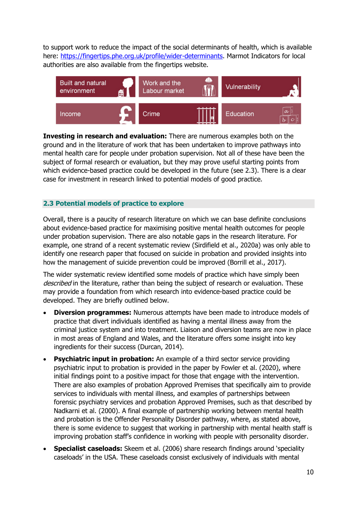to support work to reduce the impact of the social determinants of health, which is available here: [https://fingertips.phe.org.uk/profile/wider-determinants.](about:blank) Marmot Indicators for local authorities are also available from the fingertips website.



**Investing in research and evaluation:** There are numerous examples both on the ground and in the literature of work that has been undertaken to improve pathways into mental health care for people under probation supervision. Not all of these have been the subject of formal research or evaluation, but they may prove useful starting points from which evidence-based practice could be developed in the future (see 2.3). There is a clear case for investment in research linked to potential models of good practice.

#### <span id="page-9-0"></span>**2.3 Potential models of practice to explore**

Overall, there is a paucity of research literature on which we can base definite conclusions about evidence-based practice for maximising positive mental health outcomes for people under probation supervision. There are also notable gaps in the research literature. For example, one strand of a recent systematic review (Sirdifield et al., 2020a) was only able to identify one research paper that focused on suicide in probation and provided insights into how the management of suicide prevention could be improved (Borrill et al., 2017).

The wider systematic review identified some models of practice which have simply been described in the literature, rather than being the subject of research or evaluation. These may provide a foundation from which research into evidence-based practice could be developed. They are briefly outlined below.

- **Diversion programmes:** Numerous attempts have been made to introduce models of practice that divert individuals identified as having a mental illness away from the criminal justice system and into treatment. Liaison and diversion teams are now in place in most areas of England and Wales, and the literature offers some insight into key ingredients for their success (Durcan, 2014).
- **Psychiatric input in probation:** An example of a third sector service providing psychiatric input to probation is provided in the paper by Fowler et al. (2020), where initial findings point to a positive impact for those that engage with the intervention. There are also examples of probation Approved Premises that specifically aim to provide services to individuals with mental illness, and examples of partnerships between forensic psychiatry services and probation Approved Premises, such as that described by Nadkarni et al. (2000). A final example of partnership working between mental health and probation is the Offender Personality Disorder pathway, where, as stated above, there is some evidence to suggest that working in partnership with mental health staff is improving probation staff's confidence in working with people with personality disorder.
- **Specialist caseloads:** Skeem et al. (2006) share research findings around 'speciality caseloads' in the USA. These caseloads consist exclusively of individuals with mental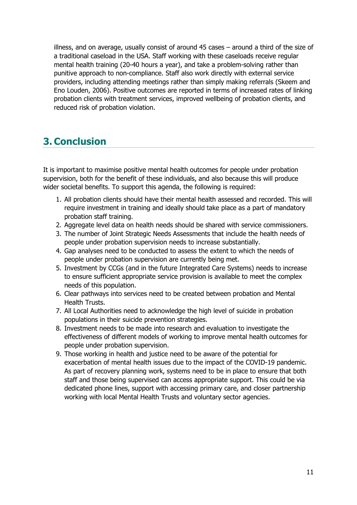illness, and on average, usually consist of around 45 cases – around a third of the size of a traditional caseload in the USA. Staff working with these caseloads receive regular mental health training (20-40 hours a year), and take a problem-solving rather than punitive approach to non-compliance. Staff also work directly with external service providers, including attending meetings rather than simply making referrals (Skeem and Eno Louden, 2006). Positive outcomes are reported in terms of increased rates of linking probation clients with treatment services, improved wellbeing of probation clients, and reduced risk of probation violation.

## <span id="page-10-0"></span>**3. Conclusion**

It is important to maximise positive mental health outcomes for people under probation supervision, both for the benefit of these individuals, and also because this will produce wider societal benefits. To support this agenda, the following is required:

- 1. All probation clients should have their mental health assessed and recorded. This will require investment in training and ideally should take place as a part of mandatory probation staff training.
- 2. Aggregate level data on health needs should be shared with service commissioners.
- 3. The number of Joint Strategic Needs Assessments that include the health needs of people under probation supervision needs to increase substantially.
- 4. Gap analyses need to be conducted to assess the extent to which the needs of people under probation supervision are currently being met.
- 5. Investment by CCGs (and in the future Integrated Care Systems) needs to increase to ensure sufficient appropriate service provision is available to meet the complex needs of this population.
- 6. Clear pathways into services need to be created between probation and Mental Health Trusts.
- 7. All Local Authorities need to acknowledge the high level of suicide in probation populations in their suicide prevention strategies.
- 8. Investment needs to be made into research and evaluation to investigate the effectiveness of different models of working to improve mental health outcomes for people under probation supervision.
- 9. Those working in health and justice need to be aware of the potential for exacerbation of mental health issues due to the impact of the COVID-19 pandemic. As part of recovery planning work, systems need to be in place to ensure that both staff and those being supervised can access appropriate support. This could be via dedicated phone lines, support with accessing primary care, and closer partnership working with local Mental Health Trusts and voluntary sector agencies.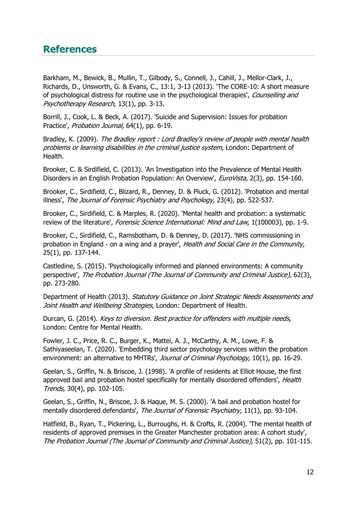### <span id="page-11-0"></span>**References**

Barkham, M., Bewick, B., Mullin, T., Gilbody, S., Connell, J., Cahill, J., Mellor-Clark, J., Richards, D., Unsworth, G. & Evans, C., 13:1, 3-13 (2013). 'The CORE-10: A short measure of psychological distress for routine use in the psychological therapies', Counselling and Psychotherapy Research, 13(1), pp. 3-13.

Borrill, J., Cook, L. & Beck, A. (2017). 'Suicide and Supervision: Issues for probation Practice', Probation Journal, 64(1), pp. 6-19.

Bradley, K. (2009). The Bradley report : Lord Bradley's review of people with mental health problems or learning disabilities in the criminal justice system, London: Department of Health.

Brooker, C. & Sirdifield, C. (2013). 'An Investigation into the Prevalence of Mental Health Disorders in an English Probation Population: An Overview', EuroVista, 2(3), pp. 154-160.

Brooker, C., Sirdifield, C., Blizard, R., Denney, D. & Pluck, G. (2012). 'Probation and mental illness', The Journal of Forensic Psychiatry and Psychology, 23(4), pp. 522-537.

Brooker, C., Sirdifield, C. & Marples, R. (2020). 'Mental health and probation: a systematic review of the literature', *Forensic Science International: Mind and Law*, 1(100003), pp. 1-9.

Brooker, C., Sirdifield, C., Ramsbotham, D. & Denney, D. (2017). 'NHS commissioning in probation in England - on a wing and a prayer', Health and Social Care in the Community, 25(1), pp. 137-144.

Castledine, S. (2015). 'Psychologically informed and planned environments: A community perspective', The Probation Journal (The Journal of Community and Criminal Justice), 62(3), pp. 273-280.

Department of Health (2013). Statutory Guidance on Joint Strategic Needs Assessments and Joint Health and Wellbeing Strategies, London: Department of Health.

Durcan, G. (2014). Keys to diversion. Best practice for offenders with multiple needs, London: Centre for Mental Health.

Fowler, J. C., Price, R. C., Burger, K., Mattei, A. J., McCarthy, A. M., Lowe, F. & Sathiyaseelan, T. (2020). 'Embedding third sector psychology services within the probation environment: an alternative to MHTRs', Journal of Criminal Psychology, 10(1), pp. 16-29.

Geelan, S., Griffin, N. & Briscoe, J. (1998). 'A profile of residents at Elliot House, the first approved bail and probation hostel specifically for mentally disordered offenders', Health Trends, 30(4), pp. 102-105.

Geelan, S., Griffin, N., Briscoe, J. & Haque, M. S. (2000). 'A bail and probation hostel for mentally disordered defendants', The Journal of Forensic Psychiatry, 11(1), pp. 93-104.

Hatfield, B., Ryan, T., Pickering, L., Burroughs, H. & Crofts, R. (2004). 'The mental health of residents of approved premises in the Greater Manchester probation area: A cohort study', The Probation Journal (The Journal of Community and Criminal Justice), 51(2), pp. 101-115.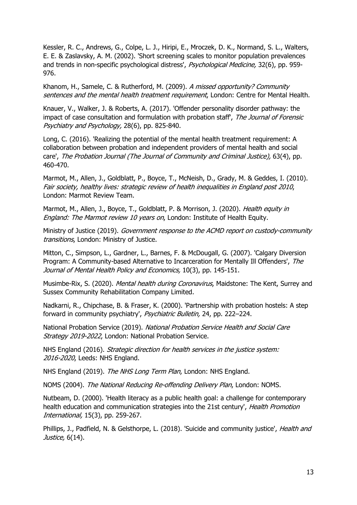Kessler, R. C., Andrews, G., Colpe, L. J., Hiripi, E., Mroczek, D. K., Normand, S. L., Walters, E. E. & Zaslavsky, A. M. (2002). 'Short screening scales to monitor population prevalences and trends in non-specific psychological distress', Psychological Medicine, 32(6), pp. 959-976.

Khanom, H., Samele, C. & Rutherford, M. (2009). A missed opportunity? Community sentences and the mental health treatment requirement, London: Centre for Mental Health.

Knauer, V., Walker, J. & Roberts, A. (2017). 'Offender personality disorder pathway: the impact of case consultation and formulation with probation staff', The Journal of Forensic Psychiatry and Psychology, 28(6), pp. 825-840.

Long, C. (2016). 'Realizing the potential of the mental health treatment requirement: A collaboration between probation and independent providers of mental health and social care', The Probation Journal (The Journal of Community and Criminal Justice), 63(4), pp. 460-470.

Marmot, M., Allen, J., Goldblatt, P., Boyce, T., McNeish, D., Grady, M. & Geddes, I. (2010). Fair society, healthy lives: strategic review of health inequalities in England post 2010, London: Marmot Review Team.

Marmot, M., Allen, J., Boyce, T., Goldblatt, P. & Morrison, J. (2020). Health equity in England: The Marmot review 10 years on, London: Institute of Health Equity.

Ministry of Justice (2019). Government response to the ACMD report on custody-community transitions, London: Ministry of Justice.

Mitton, C., Simpson, L., Gardner, L., Barnes, F. & McDougall, G. (2007). 'Calgary Diversion Program: A Community-based Alternative to Incarceration for Mentally Ill Offenders', The Journal of Mental Health Policy and Economics, 10(3), pp. 145-151.

Musimbe-Rix, S. (2020). Mental health during Coronavirus, Maidstone: The Kent, Surrey and Sussex Community Rehabilitation Company Limited.

Nadkarni, R., Chipchase, B. & Fraser, K. (2000). 'Partnership with probation hostels: A step forward in community psychiatry', Psychiatric Bulletin, 24, pp. 222-224.

National Probation Service (2019). National Probation Service Health and Social Care Strategy 2019-2022, London: National Probation Service.

NHS England (2016). Strategic direction for health services in the justice system: 2016-2020, Leeds: NHS England.

NHS England (2019). The NHS Long Term Plan, London: NHS England.

NOMS (2004). The National Reducing Re-offending Delivery Plan, London: NOMS.

Nutbeam, D. (2000). 'Health literacy as a public health goal: a challenge for contemporary health education and communication strategies into the 21st century', Health Promotion International, 15(3), pp. 259-267.

Phillips, J., Padfield, N. & Gelsthorpe, L. (2018). 'Suicide and community justice', Health and Justice, 6(14).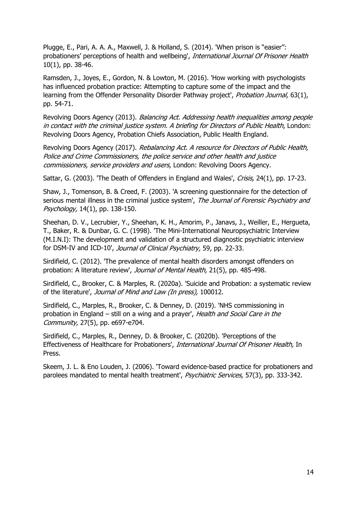Plugge, E., Pari, A. A. A., Maxwell, J. & Holland, S. (2014). 'When prison is "easier": probationers' perceptions of health and wellbeing', International Journal Of Prisoner Health 10(1), pp. 38-46.

Ramsden, J., Joyes, E., Gordon, N. & Lowton, M. (2016). 'How working with psychologists has influenced probation practice: Attempting to capture some of the impact and the learning from the Offender Personality Disorder Pathway project', Probation Journal, 63(1), pp. 54-71.

Revolving Doors Agency (2013). Balancing Act. Addressing health inequalities among people in contact with the criminal justice system. A briefing for Directors of Public Health, London: Revolving Doors Agency, Probation Chiefs Association, Public Health England.

Revolving Doors Agency (2017). Rebalancing Act. A resource for Directors of Public Health, Police and Crime Commissioners, the police service and other health and justice commissioners, service providers and users, London: Revolving Doors Agency.

Sattar, G. (2003). 'The Death of Offenders in England and Wales', Crisis, 24(1), pp. 17-23.

Shaw, J., Tomenson, B. & Creed, F. (2003). 'A screening questionnaire for the detection of serious mental illness in the criminal justice system', The Journal of Forensic Psychiatry and Psychology, 14(1), pp. 138-150.

Sheehan, D. V., Lecrubier, Y., Sheehan, K. H., Amorim, P., Janavs, J., Weiller, E., Hergueta, T., Baker, R. & Dunbar, G. C. (1998). 'The Mini-International Neuropsychiatric Interview (M.I.N.I): The development and validation of a structured diagnostic psychiatric interview for DSM-IV and ICD-10', Journal of Clinical Psychiatry, 59, pp. 22-33.

Sirdifield, C. (2012). 'The prevalence of mental health disorders amongst offenders on probation: A literature review', Journal of Mental Health, 21(5), pp. 485-498.

Sirdifield, C., Brooker, C. & Marples, R. (2020a). 'Suicide and Probation: a systematic review of the literature', Journal of Mind and Law (In press), 100012.

Sirdifield, C., Marples, R., Brooker, C. & Denney, D. (2019). 'NHS commissioning in probation in England – still on a wing and a prayer', Health and Social Care in the Community, 27(5), pp. e697-e704.

Sirdifield, C., Marples, R., Denney, D. & Brooker, C. (2020b). 'Perceptions of the Effectiveness of Healthcare for Probationers', International Journal Of Prisoner Health, In Press.

Skeem, J. L. & Eno Louden, J. (2006). 'Toward evidence-based practice for probationers and parolees mandated to mental health treatment', *Psychiatric Services*, 57(3), pp. 333-342.